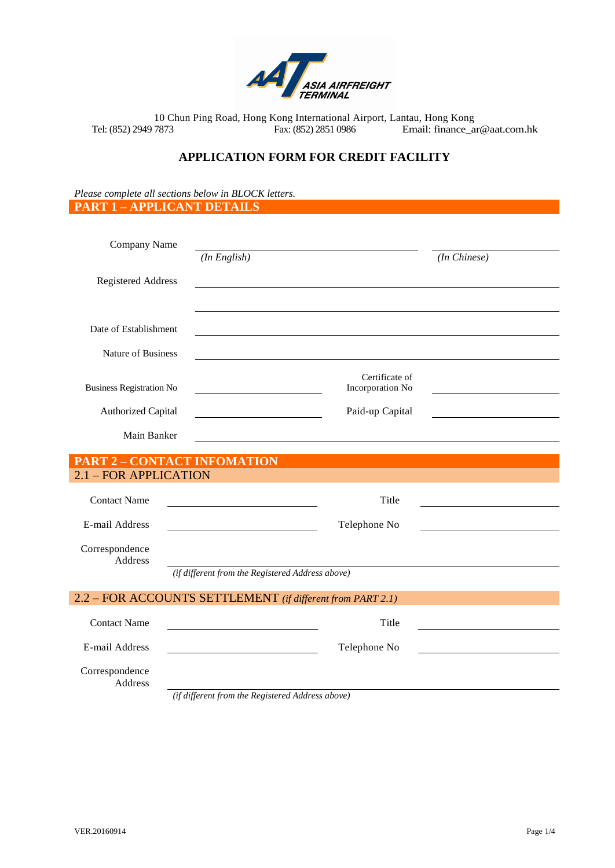

# **APPLICATION FORM FOR CREDIT FACILITY**

*Please complete all sections below in BLOCK letters.* **PART 1 – APPLICANT DETAILS**

| Company Name                                               |                                                  |              |
|------------------------------------------------------------|--------------------------------------------------|--------------|
|                                                            | $(In$ English)                                   | (In Chinese) |
| <b>Registered Address</b>                                  |                                                  |              |
|                                                            |                                                  |              |
| Date of Establishment                                      |                                                  |              |
| Nature of Business                                         |                                                  |              |
|                                                            | Certificate of                                   |              |
| <b>Business Registration No</b>                            | Incorporation No                                 |              |
| <b>Authorized Capital</b>                                  | Paid-up Capital                                  |              |
| Main Banker                                                |                                                  |              |
| <b>PART 2 - CONTACT INFOMATION</b>                         |                                                  |              |
| 2.1 - FOR APPLICATION                                      |                                                  |              |
| <b>Contact Name</b>                                        | Title                                            |              |
| E-mail Address                                             | Telephone No                                     |              |
| Correspondence<br><b>Address</b>                           |                                                  |              |
|                                                            | (if different from the Registered Address above) |              |
| 2.2 - FOR ACCOUNTS SETTLEMENT (if different from PART 2.1) |                                                  |              |
| <b>Contact Name</b>                                        | Title                                            |              |
| E-mail Address                                             | Telephone No                                     |              |
| Correspondence<br><b>Address</b>                           |                                                  |              |

*(if different from the Registered Address above)*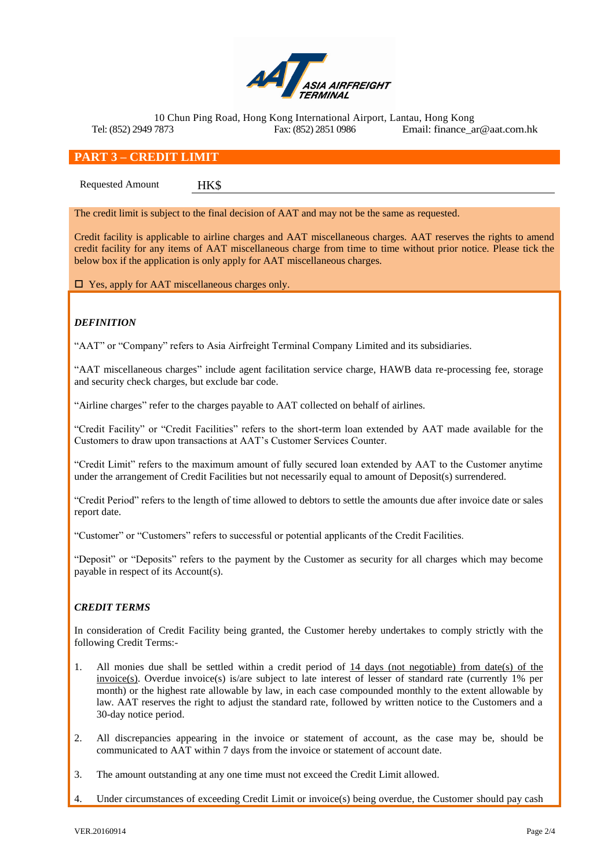

## **PART 3 – CREDIT LIMIT**

Requested Amount HK\$

The credit limit is subject to the final decision of AAT and may not be the same as requested.

Credit facility is applicable to airline charges and AAT miscellaneous charges. AAT reserves the rights to amend credit facility for any items of AAT miscellaneous charge from time to time without prior notice. Please tick the below box if the application is only apply for AAT miscellaneous charges.

□ Yes, apply for AAT miscellaneous charges only.

### *DEFINITION*

"AAT" or "Company" refers to Asia Airfreight Terminal Company Limited and its subsidiaries.

"AAT miscellaneous charges" include agent facilitation service charge, HAWB data re-processing fee, storage and security check charges, but exclude bar code.

"Airline charges" refer to the charges payable to AAT collected on behalf of airlines.

"Credit Facility" or "Credit Facilities" refers to the short-term loan extended by AAT made available for the Customers to draw upon transactions at AAT's Customer Services Counter.

"Credit Limit" refers to the maximum amount of fully secured loan extended by AAT to the Customer anytime under the arrangement of Credit Facilities but not necessarily equal to amount of Deposit(s) surrendered.

"Credit Period" refers to the length of time allowed to debtors to settle the amounts due after invoice date or sales report date.

"Customer" or "Customers" refers to successful or potential applicants of the Credit Facilities.

"Deposit" or "Deposits" refers to the payment by the Customer as security for all charges which may become payable in respect of its Account(s).

### *CREDIT TERMS*

In consideration of Credit Facility being granted, the Customer hereby undertakes to comply strictly with the following Credit Terms:-

- 1. All monies due shall be settled within a credit period of 14 days (not negotiable) from date(s) of the  $invice(s)$ . Overdue invoice(s) is/are subject to late interest of lesser of standard rate (currently 1% per month) or the highest rate allowable by law, in each case compounded monthly to the extent allowable by law. AAT reserves the right to adjust the standard rate, followed by written notice to the Customers and a 30-day notice period.
- 2. All discrepancies appearing in the invoice or statement of account, as the case may be, should be communicated to AAT within 7 days from the invoice or statement of account date.
- 3. The amount outstanding at any one time must not exceed the Credit Limit allowed.
- 4. Under circumstances of exceeding Credit Limit or invoice(s) being overdue, the Customer should pay cash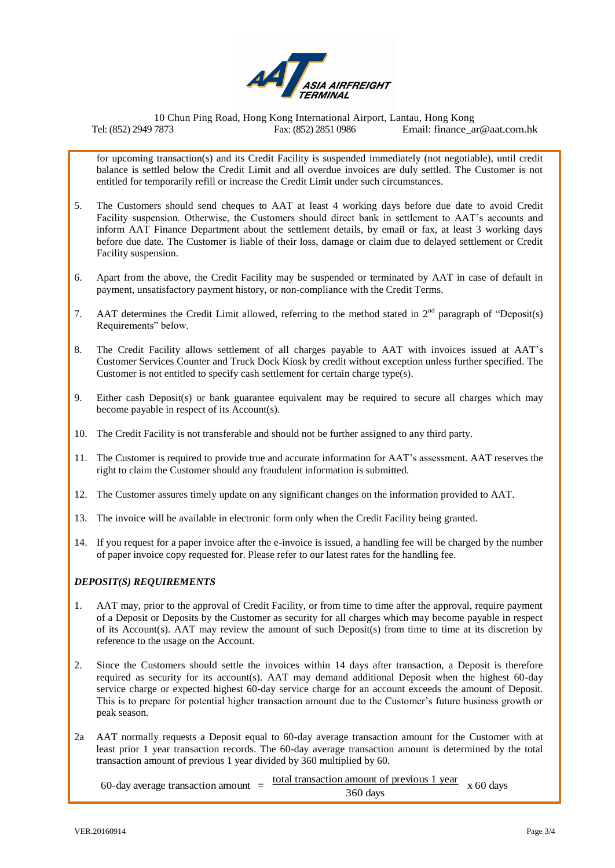

for upcoming transaction(s) and its Credit Facility is suspended immediately (not negotiable), until credit balance is settled below the Credit Limit and all overdue invoices are duly settled. The Customer is not entitled for temporarily refill or increase the Credit Limit under such circumstances.

- 5. The Customers should send cheques to AAT at least 4 working days before due date to avoid Credit Facility suspension. Otherwise, the Customers should direct bank in settlement to AAT's accounts and inform AAT Finance Department about the settlement details, by email or fax, at least 3 working days before due date. The Customer is liable of their loss, damage or claim due to delayed settlement or Credit Facility suspension.
- 6. Apart from the above, the Credit Facility may be suspended or terminated by AAT in case of default in payment, unsatisfactory payment history, or non-compliance with the Credit Terms.
- 7. AAT determines the Credit Limit allowed, referring to the method stated in  $2<sup>nd</sup>$  paragraph of "Deposit(s) Requirements" below.
- 8. The Credit Facility allows settlement of all charges payable to AAT with invoices issued at AAT's Customer Services Counter and Truck Dock Kiosk by credit without exception unless further specified. The Customer is not entitled to specify cash settlement for certain charge type(s).
- 9. Either cash Deposit(s) or bank guarantee equivalent may be required to secure all charges which may become payable in respect of its Account(s).
- 10. The Credit Facility is not transferable and should not be further assigned to any third party.
- 11. The Customer is required to provide true and accurate information for AAT's assessment. AAT reserves the right to claim the Customer should any fraudulent information is submitted.
- 12. The Customer assures timely update on any significant changes on the information provided to AAT.
- 13. The invoice will be available in electronic form only when the Credit Facility being granted.
- 14. If you request for a paper invoice after the e-invoice is issued, a handling fee will be charged by the number of paper invoice copy requested for. Please refer to our latest rates for the handling fee.

#### *DEPOSIT(S) REQUIREMENTS*

- 1. AAT may, prior to the approval of Credit Facility, or from time to time after the approval, require payment of a Deposit or Deposits by the Customer as security for all charges which may become payable in respect of its Account(s). AAT may review the amount of such Deposit(s) from time to time at its discretion by reference to the usage on the Account.
- 2. Since the Customers should settle the invoices within 14 days after transaction, a Deposit is therefore required as security for its account(s). AAT may demand additional Deposit when the highest 60-day service charge or expected highest 60-day service charge for an account exceeds the amount of Deposit. This is to prepare for potential higher transaction amount due to the Customer's future business growth or peak season.
- 2a AAT normally requests a Deposit equal to 60-day average transaction amount for the Customer with at least prior 1 year transaction records. The 60-day average transaction amount is determined by the total transaction amount of previous 1 year divided by 360 multiplied by 60.

60-day average transaction amount  $=$  total transaction amount of previous 1 year  $\times$  60 days 360 days